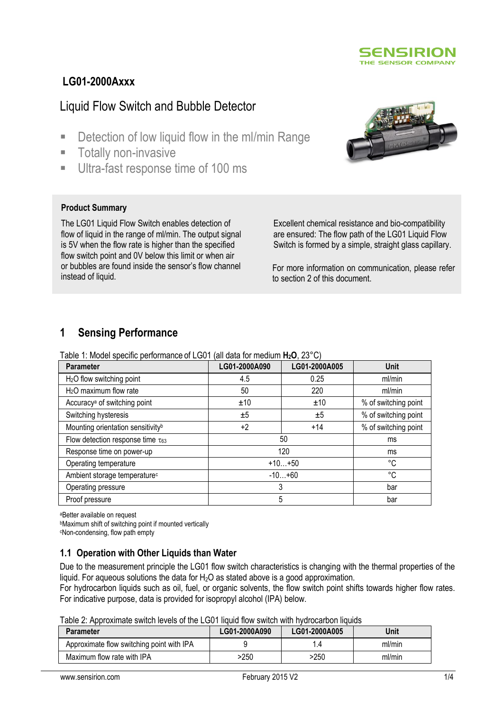

# **LG01-2000Axxx**

# Liquid Flow Switch and Bubble Detector

- Detection of low liquid flow in the ml/min Range
- **Totally non-invasive**
- Ultra-fast response time of 100 ms

## **Product Summary**

The LG01 Liquid Flow Switch enables detection of flow of liquid in the range of ml/min. The output signal is 5V when the flow rate is higher than the specified flow switch point and 0V below this limit or when air or bubbles are found inside the sensor's flow channel instead of liquid.

Excellent chemical resistance and bio-compatibility are ensured: The flow path of the LG01 Liquid Flow Switch is formed by a simple, straight glass capillary.

For more information on communication, please refer to section 2 of this document.

## **1 Sensing Performance**

Table 1: Model specific performance of LG01 (all data for medium **H2O**, 23°C)

| Parameter                                     | LG01-2000A090 | LG01-2000A005 | <b>Unit</b>          |
|-----------------------------------------------|---------------|---------------|----------------------|
| H <sub>2</sub> O flow switching point         | 4.5           | 0.25          | ml/min               |
| $H2O$ maximum flow rate                       | 50            | 220           | ml/min               |
| Accuracy <sup>a</sup> of switching point      | ±10           | ±10           | % of switching point |
| Switching hysteresis                          | ±5            | ±5            | % of switching point |
| Mounting orientation sensitivity <sup>b</sup> | $+2$          | $+14$         | % of switching point |
| Flow detection response time $\tau_{63}$      | 50            |               | ms                   |
| Response time on power-up                     | 120           |               | ms                   |
| Operating temperature                         | $+10+50$      |               | °C                   |
| Ambient storage temperature <sup>c</sup>      | $-10+60$      |               | °C                   |
| Operating pressure                            | 3             |               | bar                  |
| Proof pressure                                | 5             |               | bar                  |

<sup>a</sup>Better available on request

<sup>b</sup>Maximum shift of switching point if mounted vertically

<sup>c</sup>Non-condensing, flow path empty

## **1.1 Operation with Other Liquids than Water**

Due to the measurement principle the LG01 flow switch characteristics is changing with the thermal properties of the liquid. For aqueous solutions the data for  $H_2O$  as stated above is a good approximation.

For hydrocarbon liquids such as oil, fuel, or organic solvents, the flow switch point shifts towards higher flow rates. For indicative purpose, data is provided for isopropyl alcohol (IPA) below.

Table 2: Approximate switch levels of the LG01 liquid flow switch with hydrocarbon liquids

| <b>Parameter</b>                          | LG01-2000A090 | LG01-2000A005 | Unit   |
|-------------------------------------------|---------------|---------------|--------|
| Approximate flow switching point with IPA |               |               | ml/min |
| Maximum flow rate with IPA                | >250          | >250          | ml/min |

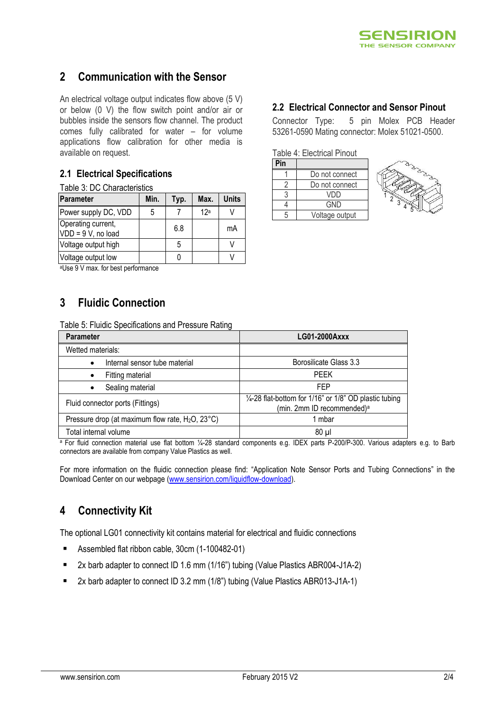

# **2 Communication with the Sensor**

An electrical voltage output indicates flow above (5 V) or below (0 V) the flow switch point and/or air or bubbles inside the sensors flow channel. The product comes fully calibrated for water – for volume applications flow calibration for other media is available on request.

## **2.1 Electrical Specifications**

|  | Table 3: DC Characteristics |
|--|-----------------------------|
|--|-----------------------------|

| Parameter                                | Min. | Typ. | Max. | Units |
|------------------------------------------|------|------|------|-------|
| Power supply DC, VDD                     | 5    |      | 12a  |       |
| Operating current,<br>VDD = 9 V, no load |      | 6.8  |      | mA    |
| Voltage output high                      |      | 5    |      |       |
| Voltage output low                       |      |      |      |       |

<sup>a</sup>Use 9 V max. for best performance

# **3 Fluidic Connection**

Table 5: Fluidic Specifications and Pressure Rating

| <b>Parameter</b>                                              | LG01-2000Axxx                                                                                               |
|---------------------------------------------------------------|-------------------------------------------------------------------------------------------------------------|
| Wetted materials:                                             |                                                                                                             |
| Internal sensor tube material<br>$\bullet$                    | Borosilicate Glass 3.3                                                                                      |
| Fitting material                                              | <b>PFFK</b>                                                                                                 |
| Sealing material                                              | FFP                                                                                                         |
| Fluid connector ports (Fittings)                              | $\frac{1}{4}$ -28 flat-bottom for 1/16" or 1/8" OD plastic tubing<br>(min. 2mm ID recommended) <sup>a</sup> |
| Pressure drop (at maximum flow rate, $H_2O$ , $23^{\circ}C$ ) | 1 mbar                                                                                                      |
| Total internal volume                                         | $80 \mu$                                                                                                    |

a For fluid connection material use flat bottom 1/4-28 standard components e.g. IDEX parts P-200/P-300. Various adapters e.g. to Barb connectors are available from company Value Plastics as well.

For more information on the fluidic connection please find: "Application Note Sensor Ports and Tubing Connections" in the Download Center on our webpage [\(www.sensirion.com/liquidflow-download\)](http://www.sensirion.com/liquidflow-download).

# **4 Connectivity Kit**

The optional LG01 connectivity kit contains material for electrical and fluidic connections

- Assembled flat ribbon cable, 30cm (1-100482-01)
- 2x barb adapter to connect ID 1.6 mm (1/16") tubing (Value Plastics ABR004-J1A-2)
- 2x barb adapter to connect ID 3.2 mm (1/8") tubing (Value Plastics ABR013-J1A-1)

## **2.2 Electrical Connector and Sensor Pinout**

Connector Type: 5 pin Molex PCB Header 53261-0590 Mating connector: Molex 51021-0500.

Table 4: Electrical Pinout

| Pin |                |
|-----|----------------|
|     | Do not connect |
|     | Do not connect |
|     | VDD            |
|     | <b>GND</b>     |
|     | Voltage output |

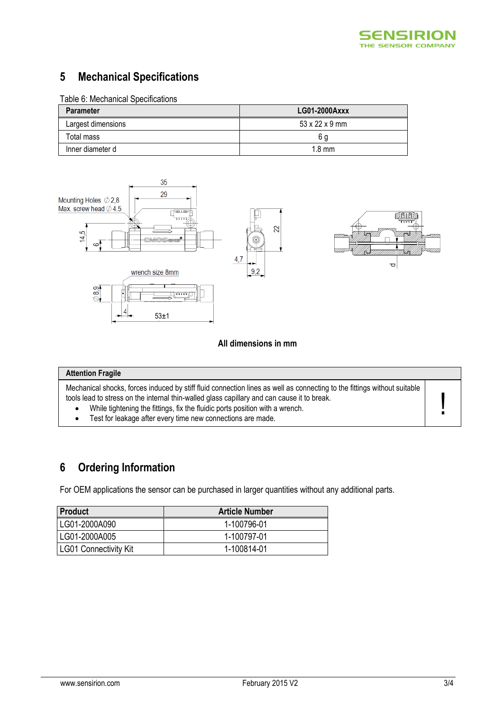

# **5 Mechanical Specifications**

## Table 6: Mechanical Specifications

| <b>Parameter</b>   | LG01-2000Axxx              |
|--------------------|----------------------------|
| Largest dimensions | $53 \times 22 \times 9$ mm |
| Total mass         | 6 a                        |
| Inner diameter d   | $1.8 \text{ mm}$           |



### **All dimensions in mm**

### **Attention Fragile**

Mechanical shocks, forces induced by stiff fluid connection lines as well as connecting to the fittings without suitable tools lead to stress on the internal thin-walled glass capillary and can cause it to break.

- While tightening the fittings, fix the fluidic ports position with a wrench.
- Test for leakage after every time new connections are made.

# **6 Ordering Information**

For OEM applications the sensor can be purchased in larger quantities without any additional parts.

| <b>Product</b>        | <b>Article Number</b> |
|-----------------------|-----------------------|
| LG01-2000A090         | 1-100796-01           |
| LG01-2000A005         | 1-100797-01           |
| LG01 Connectivity Kit | 1-100814-01           |

!